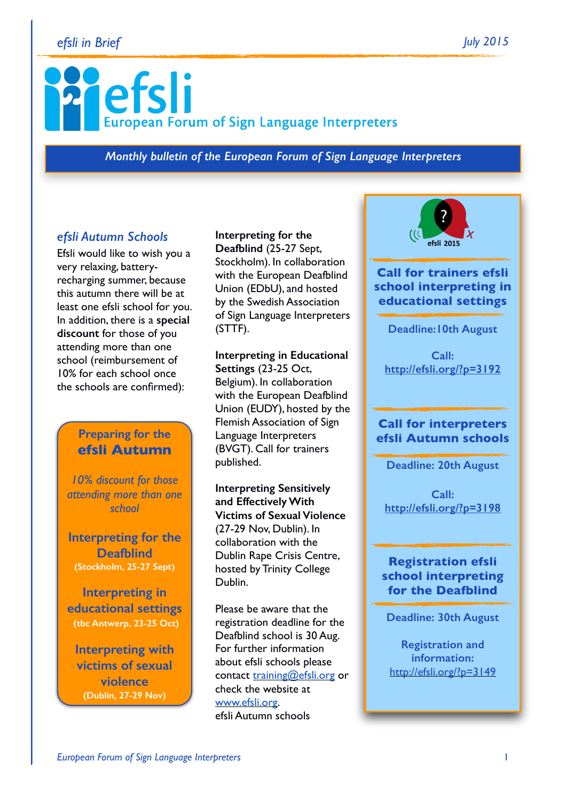# **Pefsli** European Forum of Sign Language Interpreters

*Monthly bulletin of the European Forum of Sign Language Interpreters*

#### *efsli Autumn Schools*

Efsli would like to wish you a very relaxing, batteryrecharging summer, because this autumn there will be at least one efsli school for you. In addition, there is a **special discount** for those of you attending more than one school (reimbursement of 10% for each school once the schools are confirmed):

## **Preparing for the efsli Autumn**

*10% discount for those attending more than one school*

**Interpreting for the Deafblind (Stockholm, 25-27 Sept)** 

**Interpreting in educational settings (tbc Antwerp, 23-25 Oct)** 

**Interpreting with victims of sexual violence (Dublin, 27-29 Nov)** 

**Interpreting for the Deafblind** (25-27 Sept, Stockholm). In collaboration with the European Deafblind Union (EDbU), and hosted by the Swedish Association of Sign Language Interpreters (STTF).

**Interpreting in Educational Settings** (23-25 Oct, Belgium). In collaboration with the European Deafblind Union (EUDY), hosted by the Flemish Association of Sign Language Interpreters (BVGT). Call for trainers published.

**Interpreting Sensitively and Effectively With Victims of Sexual Violence** (27-29 Nov, Dublin). In collaboration with the Dublin Rape Crisis Centre, hosted by Trinity College **Dublin** 

Please be aware that the registration deadline for the Deafblind school is 30 Aug. For further information about efsli schools please contact [training@efsli.org](mailto:training@efsli.org) or check the website at [www.efsli.org.](http://www.efsli.org) efsli Autumn schools



#### **Call for trainers efsli school interpreting in educational settings**

**Deadline:10th August** 

**Call: <http://efsli.org/?p=3192>**

#### **Call for interpreters efsli Autumn schools**

**Deadline: 20th August** 

**Call: <http://efsli.org/?p=3198>**

#### **Registration efsli school interpreting for the Deafblind**

**Deadline: 30th August** 

**Registration and information:**  <http://efsli.org/?p=3149>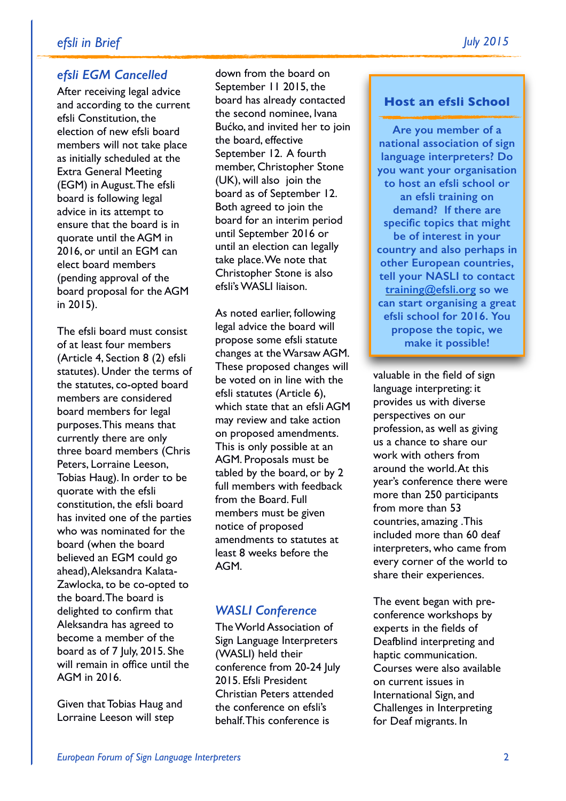# *efsli in Brief July 2015*

#### *efsli EGM Cancelled*

After receiving legal advice and according to the current efsli Constitution, the election of new efsli board members will not take place as initially scheduled at the Extra General Meeting (EGM) in August. The efsli board is following legal advice in its attempt to ensure that the board is in quorate until the AGM in 2016, or until an EGM can elect board members (pending approval of the board proposal for the AGM in 2015).

The efsli board must consist of at least four members (Article 4, Section 8 (2) efsli statutes). Under the terms of the statutes, co-opted board members are considered board members for legal purposes. This means that currently there are only three board members (Chris Peters, Lorraine Leeson, Tobias Haug). In order to be quorate with the efsli constitution, the efsli board has invited one of the parties who was nominated for the board (when the board believed an EGM could go ahead), Aleksandra Kalata-Zawlocka, to be co-opted to the board. The board is delighted to confirm that Aleksandra has agreed to become a member of the board as of 7 July, 2015. She will remain in office until the AGM in 2016.

Given that Tobias Haug and Lorraine Leeson will step

down from the board on September 11 2015, the board has already contacted the second nominee, Ivana Bućko, and invited her to join the board, effective September 12. A fourth member, Christopher Stone (UK), will also join the board as of September 12. Both agreed to join the board for an interim period until September 2016 or until an election can legally take place. We note that Christopher Stone is also efsli's WASLI liaison.

As noted earlier, following legal advice the board will propose some efsli statute changes at the Warsaw AGM. These proposed changes will be voted on in line with the efsli statutes (Article 6), which state that an efsli AGM may review and take action on proposed amendments. This is only possible at an AGM. Proposals must be tabled by the board, or by 2 full members with feedback from the Board. Full members must be given notice of proposed amendments to statutes at least 8 weeks before the AGM.

#### *WASLI Conference*

The World Association of Sign Language Interpreters (WASLI) held their conference from 20-24 July 2015. Efsli President Christian Peters attended the conference on efsli's behalf. This conference is

#### **Host an efsli School**

**Are you member of a national association of sign language interpreters? Do you want your organisation to host an efsli school or an efsli training on demand? If there are specific topics that might be of interest in your country and also perhaps in other European countries, tell your NASLI to contact [training@efsli.org](mailto:training@efsli.org) so we can start organising a great efsli school for 2016. You propose the topic, we make it possible!**

valuable in the field of sign language interpreting: it provides us with diverse perspectives on our profession, as well as giving us a chance to share our work with others from around the world. At this year's conference there were more than 250 participants from more than 53 countries, amazing .This included more than 60 deaf interpreters, who came from every corner of the world to share their experiences.

The event began with preconference workshops by experts in the fields of Deafblind interpreting and haptic communication. Courses were also available on current issues in International Sign, and Challenges in Interpreting for Deaf migrants. In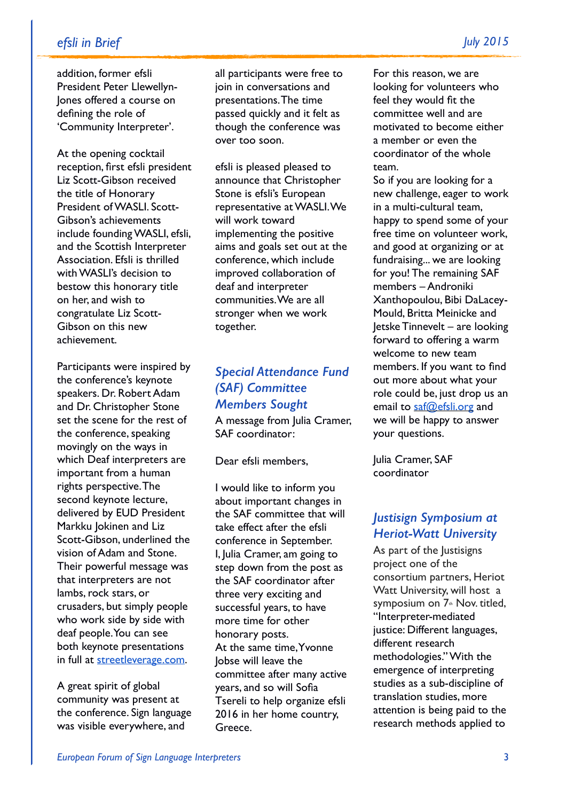addition, former efsli President Peter Llewellyn-Jones offered a course on defining the role of 'Community Interpreter'.

At the opening cocktail reception, first efsli president Liz Scott-Gibson received the title of Honorary President of WASLI. Scott-Gibson's achievements include founding WASLI, efsli, and the Scottish Interpreter Association. Efsli is thrilled with WASLI's decision to bestow this honorary title on her, and wish to congratulate Liz Scott-Gibson on this new achievement.

Participants were inspired by the conference's keynote speakers. Dr. Robert Adam and Dr. Christopher Stone set the scene for the rest of the conference, speaking movingly on the ways in which Deaf interpreters are important from a human rights perspective. The second keynote lecture, delivered by EUD President Markku Jokinen and Liz Scott-Gibson, underlined the vision of Adam and Stone. Their powerful message was that interpreters are not lambs, rock stars, or crusaders, but simply people who work side by side with deaf people. You can see both keynote presentations in full at streetleverage.com.

A great spirit of global community was present at the conference. Sign language was visible everywhere, and

all participants were free to join in conversations and presentations. The time passed quickly and it felt as though the conference was over too soon.

efsli is pleased pleased to announce that Christopher Stone is efsli's European representative at WASLI. We will work toward implementing the positive aims and goals set out at the conference, which include improved collaboration of deaf and interpreter communities. We are all stronger when we work together.

# *Special Attendance Fund (SAF) Committee Members Sought*

A message from Julia Cramer, SAF coordinator:

Dear efsli members,

I would like to inform you about important changes in the SAF committee that will take effect after the efsli conference in September. I, Julia Cramer, am going to step down from the post as the SAF coordinator after three very exciting and successful years, to have more time for other honorary posts. At the same time, Yvonne Jobse will leave the committee after many active years, and so will Sofia Tsereli to help organize efsli 2016 in her home country, Greece.

For this reason, we are looking for volunteers who feel they would fit the committee well and are motivated to become either a member or even the coordinator of the whole team.

So if you are looking for a new challenge, eager to work in a multi-cultural team, happy to spend some of your free time on volunteer work, and good at organizing or at fundraising... we are looking for you! The remaining SAF members – Androniki Xanthopoulou, Bibi DaLacey-Mould, Britta Meinicke and Jetske Tinnevelt – are looking forward to offering a warm welcome to new team members. If you want to find out more about what your role could be, just drop us an email to [saf@efsli.org](mailto:saf@efsli.org) and we will be happy to answer your questions.

Julia Cramer, SAF coordinator

## *Justisign Symposium at Heriot-Watt University*

As part of the Justisigns project one of the consortium partners, Heriot Watt University, will host a symposium on  $7<sup>th</sup>$  Nov. titled, "Interpreter-mediated justice: Different languages, different research methodologies." With the emergence of interpreting studies as a sub-discipline of translation studies, more attention is being paid to the research methods applied to